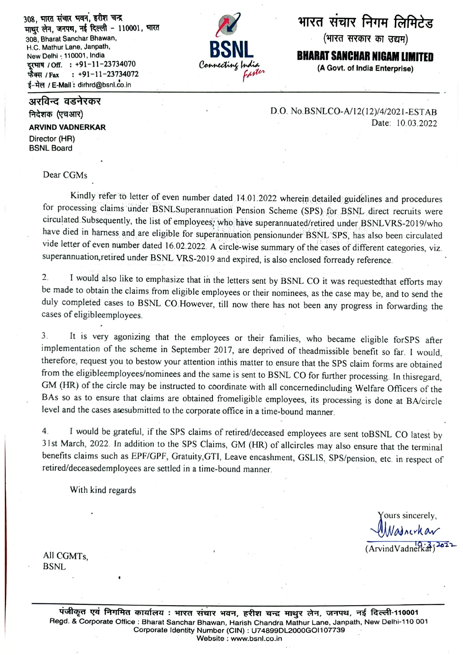308. भारत संचार भवन, हरीश चन्द्र माथर लेन, जनपथ, नई दिल्ली - 110001, भारत 308, Bharat Sanchar Bhawan, H.C. Mathur Lane, Janpath, New Delhi - 110001, India दरभाष / Off. : +91-11-23734070  $: +91-11-23734072$ फैक्स / Fax ई-मेल / E-Mail: dirhrd@bsnl.co.in

अरविन्द वडनेरकर निदेशक (एचआर)

**ARVIND VADNERKAR** Director (HR) **BSNL Board** 

## Dear CGMs

Kindly refer to letter of even number dated 14.01.2022 wherein detailed guidelines and procedures for processing claims under BSNLSuperannuation Pension Scheme (SPS) for BSNL direct recruits were circulated Subsequently, the list of employees, who have superannuated/retired under BSNLVRS-2019/who have died in harness and are eligible for superannuation pensionunder BSNL SPS, has also been circulated vide letter of even number dated 16.02.2022. A circle-wise summary of the cases of different categories, viz. superannuation, retired under BSNL VRS-2019 and expired, is also enclosed forready reference.

I would also like to emphasize that in the letters sent by BSNL CO it was requested that efforts may  $2.$ be made to obtain the claims from eligible employees or their nominees, as the case may be, and to send the duly completed cases to BSNL CO.However, till now there has not been any progress in forwarding the cases of eligibleemployees.

It is very agonizing that the employees or their families, who became eligible forSPS after  $3<sub>1</sub>$ implementation of the scheme in September 2017, are deprived of theadmissible benefit so far. I would, therefore, request you to bestow your attention inthis matter to ensure that the SPS claim forms are obtained from the eligibleemployees/nominees and the same is sent to BSNL CO for further processing. In thisregard, GM (HR) of the circle may be instructed to coordinate with all concernedincluding Welfare Officers of the BAs so as to ensure that claims are obtained fromeligible employees, its processing is done at BA/circle level and the cases are submitted to the corporate office in a time-bound manner.

I would be grateful, if the SPS claims of retired/deceased employees are sent toBSNL CO latest by  $\overline{4}$ 31st March, 2022. In addition to the SPS Claims, GM (HR) of allcircles may also ensure that the terminal benefits claims such as EPF/GPF, Gratuity, GTI, Leave encashment, GSLIS, SPS/pension, etc. in respect of retired/deceasedemployees are settled in a time-bound manner.

With kind regards

ours sincerely. Nadoerhar  $(ArvindVadnerk\ddot{a}t)^{2\delta}$ 

All CGMTs. **BSNL** 

> पंजीकृत एवं निगमित कार्यालय : भारत संचार भवन, हरीश चन्द्र माथुर लेन, जनपथ, नई दिल्ली-110001 Regd. & Corporate Office : Bharat Sanchar Bhawan, Harish Chandra Mathur Lane, Janpath, New Delhi-110 001 Corporate Identity Number (CIN) : U74899DL2000GOI107739 Website : www.bsnl.co.in

भारत संचार निगम लिमिटेड

(भारत सरकार का उद्यम)

**BHARAT SANCHAR NIGAM LIMITED** 

(A Govt. of India Enterprise)

D.O. No.BSNLCO-A/12(12)/4/2021-ESTAB Date: 10.03.2022